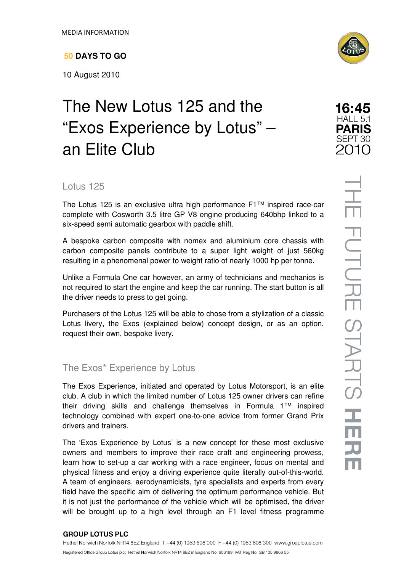# **50 DAYS TO GO**

10 August 2010

# The New Lotus 125 and the "Exos Experience by Lotus" – an Elite Club



16:45 HALL 5.1 **PARIS** SEPT<sub>30</sub> 2010

> THE FUTURE STARTS HE  $\overline{\mathbf{J}}$

## Lotus 125

The Lotus 125 is an exclusive ultra high performance F1™ inspired race-car complete with Cosworth 3.5 litre GP V8 engine producing 640bhp linked to a six-speed semi automatic gearbox with paddle shift.

A bespoke carbon composite with nomex and aluminium core chassis with carbon composite panels contribute to a super light weight of just 560kg resulting in a phenomenal power to weight ratio of nearly 1000 hp per tonne.

Unlike a Formula One car however, an army of technicians and mechanics is not required to start the engine and keep the car running. The start button is all the driver needs to press to get going.

Purchasers of the Lotus 125 will be able to chose from a stylization of a classic Lotus livery, the Exos (explained below) concept design, or as an option, request their own, bespoke livery.

# The Exos\* Experience by Lotus

The Exos Experience, initiated and operated by Lotus Motorsport, is an elite club. A club in which the limited number of Lotus 125 owner drivers can refine their driving skills and challenge themselves in Formula 1™ inspired technology combined with expert one-to-one advice from former Grand Prix drivers and trainers.

The 'Exos Experience by Lotus' is a new concept for these most exclusive owners and members to improve their race craft and engineering prowess, learn how to set-up a car working with a race engineer, focus on mental and physical fitness and enjoy a driving experience quite literally out-of-this-world. A team of engineers, aerodynamicists, tyre specialists and experts from every field have the specific aim of delivering the optimum performance vehicle. But it is not just the performance of the vehicle which will be optimised, the driver will be brought up to a high level through an F1 level fitness programme

### **GROUP LOTUS PLC**

Hethel Norwich Norfolk NR14 8EZ England T +44 (0) 1953 608 000 F +44 (0) 1953 608 300 www.grouplotus.com Registered Office Group Lotus plc: Hethel Norwich Norfolk NR14 8EZ in England No. 606189 VAT Reg No. GB 105 9863 55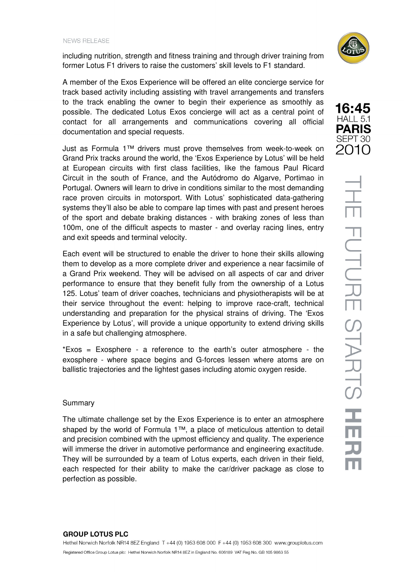including nutrition, strength and fitness training and through driver training from former Lotus F1 drivers to raise the customers' skill levels to F1 standard.

A member of the Exos Experience will be offered an elite concierge service for track based activity including assisting with travel arrangements and transfers to the track enabling the owner to begin their experience as smoothly as possible. The dedicated Lotus Exos concierge will act as a central point of contact for all arrangements and communications covering all official documentation and special requests.

Just as Formula 1™ drivers must prove themselves from week-to-week on Grand Prix tracks around the world, the 'Exos Experience by Lotus' will be held at European circuits with first class facilities, like the famous Paul Ricard Circuit in the south of France, and the Autódromo do Algarve, Portimao in Portugal. Owners will learn to drive in conditions similar to the most demanding race proven circuits in motorsport. With Lotus' sophisticated data-gathering systems they'll also be able to compare lap times with past and present heroes of the sport and debate braking distances - with braking zones of less than 100m, one of the difficult aspects to master - and overlay racing lines, entry and exit speeds and terminal velocity.

Each event will be structured to enable the driver to hone their skills allowing them to develop as a more complete driver and experience a near facsimile of a Grand Prix weekend. They will be advised on all aspects of car and driver performance to ensure that they benefit fully from the ownership of a Lotus 125. Lotus' team of driver coaches, technicians and physiotherapists will be at their service throughout the event: helping to improve race-craft, technical understanding and preparation for the physical strains of driving. The 'Exos Experience by Lotus', will provide a unique opportunity to extend driving skills in a safe but challenging atmosphere.

\*Exos = Exosphere - a reference to the earth's outer atmosphere - the exosphere - where space begins and G-forces lessen where atoms are on ballistic trajectories and the lightest gases including atomic oxygen reside.

#### Summary

The ultimate challenge set by the Exos Experience is to enter an atmosphere shaped by the world of Formula 1™, a place of meticulous attention to detail and precision combined with the upmost efficiency and quality. The experience will immerse the driver in automotive performance and engineering exactitude. They will be surrounded by a team of Lotus experts, each driven in their field, each respected for their ability to make the car/driver package as close to perfection as possible.





#### **GROUP LOTUS PLC** Hethel Norwich Norfolk NR14 8EZ England T +44 (0) 1953 608 000 F +44 (0) 1953 608 300 www.grouplotus.com Registered Office Group Lotus plc: Hethel Norwich Norfolk NR14 8EZ in England No. 606189 VAT Reg No. GB 105 9863 55